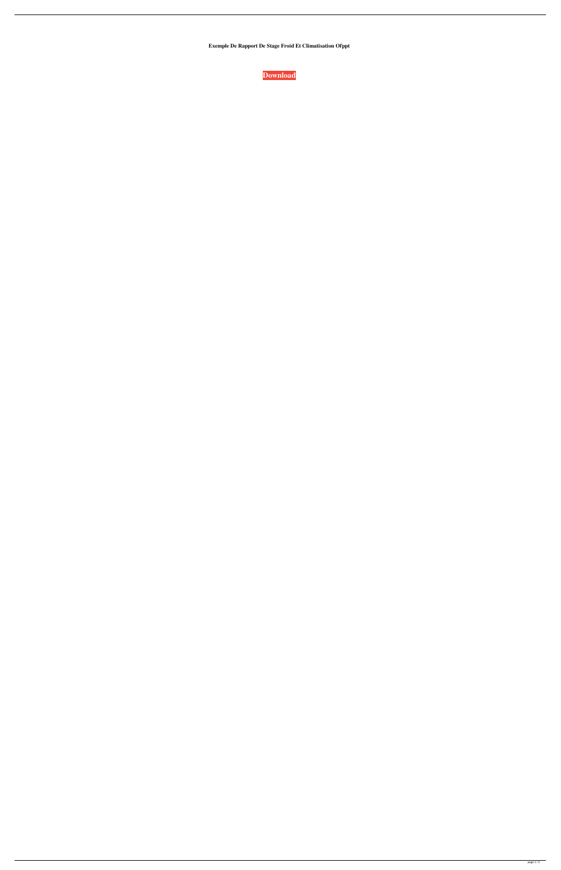**Exemple De Rapport De Stage Froid Et Climatisation Ofppt**